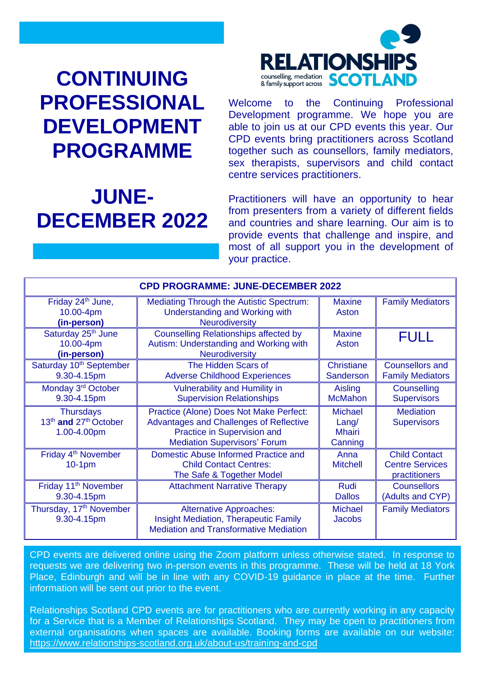# **CONTINUING PROFESSIONAL DEVELOPMENT PROGRAMME**

# **JUNE-DECEMBER 2022**



Welcome to the Continuing Professional Development programme. We hope you are able to join us at our CPD events this year. Our CPD events bring practitioners across Scotland together such as counsellors, family mediators, sex therapists, supervisors and child contact centre services practitioners.

Practitioners will have an opportunity to hear from presenters from a variety of different fields and countries and share learning. Our aim is to provide events that challenge and inspire, and most of all support you in the development of your practice.

| <b>CPD PROGRAMME: JUNE-DECEMBER 2022</b>                                         |                                                                                                                                                                 |                                                        |                                                                 |
|----------------------------------------------------------------------------------|-----------------------------------------------------------------------------------------------------------------------------------------------------------------|--------------------------------------------------------|-----------------------------------------------------------------|
| Friday 24 <sup>th</sup> June,<br>10.00-4pm<br>(in-person)                        | <b>Mediating Through the Autistic Spectrum:</b><br><b>Understanding and Working with</b><br>Neurodiversity                                                      | <b>Maxine</b><br>Aston                                 | <b>Family Mediators</b>                                         |
| Saturday 25 <sup>th</sup> June<br>10.00-4pm<br>(in-person)                       | <b>Counselling Relationships affected by</b><br>Autism: Understanding and Working with<br><b>Neurodiversity</b>                                                 | <b>Maxine</b><br>Aston                                 | <b>FULL</b>                                                     |
| Saturday 10 <sup>th</sup> September<br>9.30-4.15pm                               | The Hidden Scars of<br><b>Adverse Childhood Experiences</b>                                                                                                     | <b>Christiane</b><br><b>Sanderson</b>                  | <b>Counsellors and</b><br><b>Family Mediators</b>               |
| Monday 3 <sup>rd</sup> October<br>9.30-4.15pm                                    | <b>Vulnerability and Humility in</b><br><b>Supervision Relationships</b>                                                                                        | Aisling<br><b>McMahon</b>                              | Counselling<br><b>Supervisors</b>                               |
| <b>Thursdays</b><br>13 <sup>th</sup> and 27 <sup>th</sup> October<br>1.00-4.00pm | Practice (Alone) Does Not Make Perfect:<br><b>Advantages and Challenges of Reflective</b><br>Practice in Supervision and<br><b>Mediation Supervisors' Forum</b> | <b>Michael</b><br>$L$ ang/<br><b>Mhairi</b><br>Canning | <b>Mediation</b><br><b>Supervisors</b>                          |
| Friday 4 <sup>th</sup> November<br>$10-1pm$                                      | Domestic Abuse Informed Practice and<br><b>Child Contact Centres:</b><br>The Safe & Together Model                                                              | Anna<br><b>Mitchell</b>                                | <b>Child Contact</b><br><b>Centre Services</b><br>practitioners |
| Friday 11 <sup>th</sup> November<br>9.30-4.15pm                                  | <b>Attachment Narrative Therapy</b>                                                                                                                             | <b>Rudi</b><br><b>Dallos</b>                           | <b>Counsellors</b><br>(Adults and CYP)                          |
| Thursday, 17 <sup>th</sup> November<br>9.30-4.15pm                               | <b>Alternative Approaches:</b><br><b>Insight Mediation, Therapeutic Family</b><br><b>Mediation and Transformative Mediation</b>                                 | <b>Michael</b><br><b>Jacobs</b>                        | <b>Family Mediators</b>                                         |

CPD events are delivered online using the Zoom platform unless otherwise stated. In response to requests we are delivering two in-person events in this programme. These will be held at 18 York Place, Edinburgh and will be in line with any COVID-19 guidance in place at the time. Further information will be sent out prior to the event.

Relationships Scotland CPD events are for practitioners who are currently working in any capacity for a Service that is a Member of Relationships Scotland. They may be open to practitioners from external organisations when spaces are available. Booking forms are available on our website: <https://www.relationships-scotland.org.uk/about-us/training-and-cpd>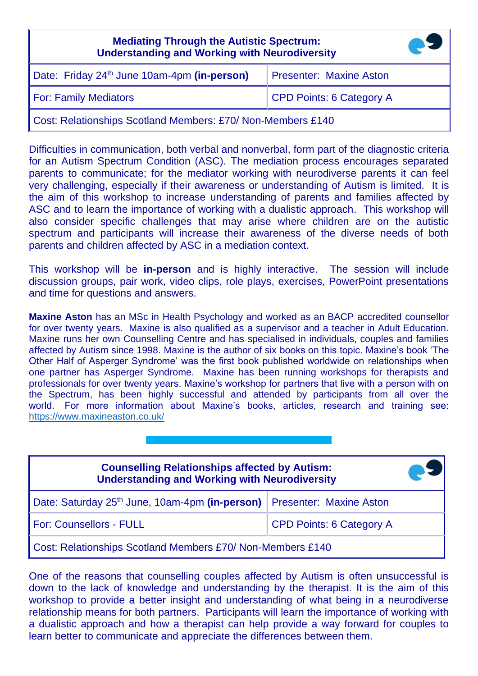| <b>Mediating Through the Autistic Spectrum:</b><br><b>Understanding and Working with Neurodiversity</b> |                          |  |
|---------------------------------------------------------------------------------------------------------|--------------------------|--|
| Date: Friday 24 <sup>th</sup> June 10am-4pm (in-person)                                                 | Presenter: Maxine Aston  |  |
| <b>For: Family Mediators</b>                                                                            | CPD Points: 6 Category A |  |
| Cost: Relationships Scotland Members: £70/ Non-Members £140                                             |                          |  |

Difficulties in communication, both verbal and nonverbal, form part of the diagnostic criteria for an Autism Spectrum Condition (ASC). The mediation process encourages separated parents to communicate; for the mediator working with neurodiverse parents it can feel very challenging, especially if their awareness or understanding of Autism is limited. It is the aim of this workshop to increase understanding of parents and families affected by ASC and to learn the importance of working with a dualistic approach. This workshop will also consider specific challenges that may arise where children are on the autistic spectrum and participants will increase their awareness of the diverse needs of both parents and children affected by ASC in a mediation context.

This workshop will be **in-person** and is highly interactive. The session will include discussion groups, pair work, video clips, role plays, exercises, PowerPoint presentations and time for questions and answers.

**Maxine Aston** has an MSc in Health Psychology and worked as an BACP accredited counsellor for over twenty years. Maxine is also qualified as a supervisor and a teacher in Adult Education. Maxine runs her own Counselling Centre and has specialised in individuals, couples and families affected by Autism since 1998. Maxine is the author of six books on this topic. Maxine's book 'The Other Half of Asperger Syndrome' was the first book published worldwide on relationships when one partner has Asperger Syndrome. Maxine has been running workshops for therapists and professionals for over twenty years. Maxine's workshop for partners that live with a person with on the Spectrum, has been highly successful and attended by participants from all over the world. For more information about Maxine's books, articles, research and training see: <https://www.maxineaston.co.uk/>

| <b>Counselling Relationships affected by Autism:</b><br><b>Understanding and Working with Neurodiversity</b> |                                 |  |
|--------------------------------------------------------------------------------------------------------------|---------------------------------|--|
| Date: Saturday 25 <sup>th</sup> June, 10am-4pm (in-person)   Presenter: Maxine Aston                         |                                 |  |
| <b>For: Counsellors - FULL</b>                                                                               | <b>CPD Points: 6 Category A</b> |  |
| Cost: Relationships Scotland Members £70/ Non-Members £140                                                   |                                 |  |

One of the reasons that counselling couples affected by Autism is often unsuccessful is down to the lack of knowledge and understanding by the therapist. It is the aim of this workshop to provide a better insight and understanding of what being in a neurodiverse relationship means for both partners. Participants will learn the importance of working with a dualistic approach and how a therapist can help provide a way forward for couples to learn better to communicate and appreciate the differences between them.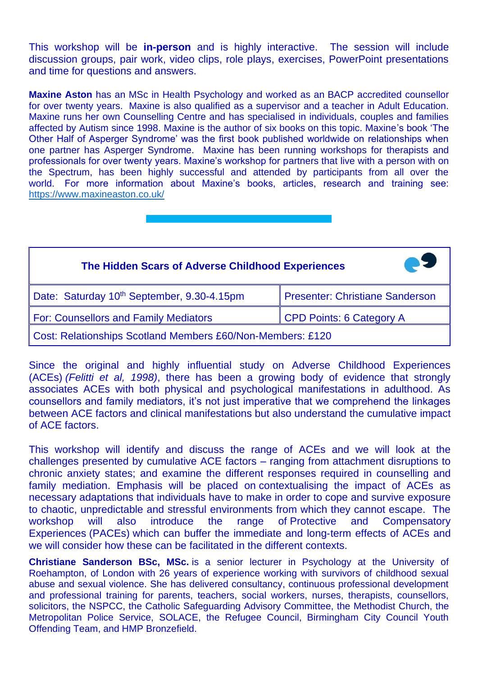This workshop will be **in-person** and is highly interactive. The session will include discussion groups, pair work, video clips, role plays, exercises, PowerPoint presentations and time for questions and answers.

**Maxine Aston** has an MSc in Health Psychology and worked as an BACP accredited counsellor for over twenty years. Maxine is also qualified as a supervisor and a teacher in Adult Education. Maxine runs her own Counselling Centre and has specialised in individuals, couples and families affected by Autism since 1998. Maxine is the author of six books on this topic. Maxine's book 'The Other Half of Asperger Syndrome' was the first book published worldwide on relationships when one partner has Asperger Syndrome. Maxine has been running workshops for therapists and professionals for over twenty years. Maxine's workshop for partners that live with a person with on the Spectrum, has been highly successful and attended by participants from all over the world. For more information about Maxine's books, articles, research and training see: <https://www.maxineaston.co.uk/>

| The Hidden Scars of Adverse Childhood Experiences          | <b>PE</b>                              |  |
|------------------------------------------------------------|----------------------------------------|--|
| Date: Saturday 10 <sup>th</sup> September, 9.30-4.15pm     | <b>Presenter: Christiane Sanderson</b> |  |
| For: Counsellors and Family Mediators                      | <b>CPD Points: 6 Category A</b>        |  |
| Cost: Relationships Scotland Members £60/Non-Members: £120 |                                        |  |

Since the original and highly influential study on Adverse Childhood Experiences (ACEs) *(Felitti et al, 1998)*, there has been a growing body of evidence that strongly associates ACEs with both physical and psychological manifestations in adulthood. As counsellors and family mediators, it's not just imperative that we comprehend the linkages between ACE factors and clinical manifestations but also understand the cumulative impact of ACE factors.

This workshop will identify and discuss the range of ACEs and we will look at the challenges presented by cumulative ACE factors – ranging from attachment disruptions to chronic anxiety states; and examine the different responses required in counselling and family mediation. Emphasis will be placed on contextualising the impact of ACEs as necessary adaptations that individuals have to make in order to cope and survive exposure to chaotic, unpredictable and stressful environments from which they cannot escape. The workshop will also introduce the range of Protective and Compensatory Experiences (PACEs) which can buffer the immediate and long‐term effects of ACEs and we will consider how these can be facilitated in the different contexts.

**Christiane Sanderson BSc, MSc.** is a senior lecturer in Psychology at the University of Roehampton, of London with 26 years of experience working with survivors of childhood sexual abuse and sexual violence. She has delivered consultancy, continuous professional development and professional training for parents, teachers, social workers, nurses, therapists, counsellors, solicitors, the NSPCC, the Catholic Safeguarding Advisory Committee, the Methodist Church, the Metropolitan Police Service, SOLACE, the Refugee Council, Birmingham City Council Youth Offending Team, and HMP Bronzefield.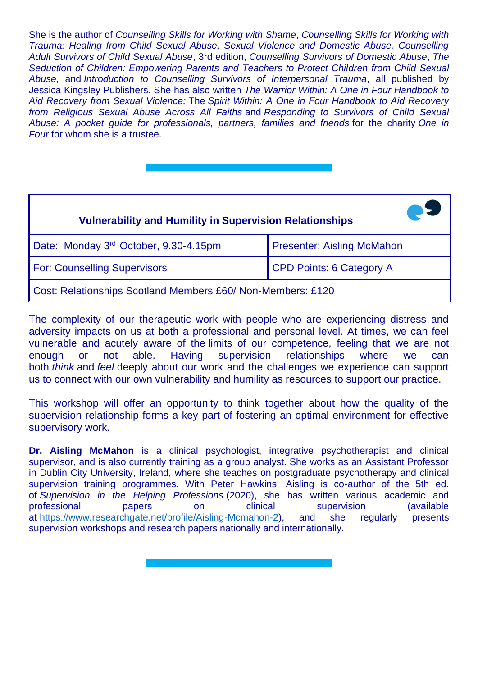She is the author of *Counselling Skills for Working with Shame*, *Counselling Skills for Working with Trauma: Healing from Child Sexual Abuse, Sexual Violence and Domestic Abuse, Counselling Adult Survivors of Child Sexual Abuse*, 3rd edition, *Counselling Survivors of Domestic Abuse*, *The Seduction of Children: Empowering Parents and Teachers to Protect Children from Child Sexual Abuse*, and *Introduction to Counselling Survivors of Interpersonal Trauma*, all published by Jessica Kingsley Publishers. She has also written *The Warrior Within: A One in Four Handbook to Aid Recovery from Sexual Violence;* The *Spirit Within: A One in Four Handbook to Aid Recovery from Religious Sexual Abuse Across All Faiths* and *Responding to Survivors of Child Sexual Abuse: A pocket guide for professionals, partners, families and friends* for the charity *One in Four* for whom she is a trustee.

| <b>Vulnerability and Humility in Supervision Relationships</b> |                                   |  |
|----------------------------------------------------------------|-----------------------------------|--|
| Date: Monday 3rd October, 9.30-4.15pm                          | <b>Presenter: Aisling McMahon</b> |  |
| <b>For: Counselling Supervisors</b>                            | <b>CPD Points: 6 Category A</b>   |  |
| Cost: Relationships Scotland Members £60/ Non-Members: £120    |                                   |  |

The complexity of our therapeutic work with people who are experiencing distress and adversity impacts on us at both a professional and personal level. At times, we can feel vulnerable and acutely aware of the limits of our competence, feeling that we are not enough or not able. Having supervision relationships where we can both *think* and *feel* deeply about our work and the challenges we experience can support us to connect with our own vulnerability and humility as resources to support our practice.

This workshop will offer an opportunity to think together about how the quality of the supervision relationship forms a key part of fostering an optimal environment for effective supervisory work.

**Dr. Aisling McMahon** is a clinical psychologist, integrative psychotherapist and clinical supervisor, and is also currently training as a group analyst. She works as an Assistant Professor in Dublin City University, Ireland, where she teaches on postgraduate psychotherapy and clinical supervision training programmes. With Peter Hawkins, Aisling is co-author of the 5th ed. of *Supervision in the Helping Professions* (2020), she has written various academic and professional papers on clinical supervision (available at [https://www.researchgate.net/profile/Aisling-Mcmahon-2\)](https://www.researchgate.net/profile/Aisling-Mcmahon-2), and she regularly presents supervision workshops and research papers nationally and internationally.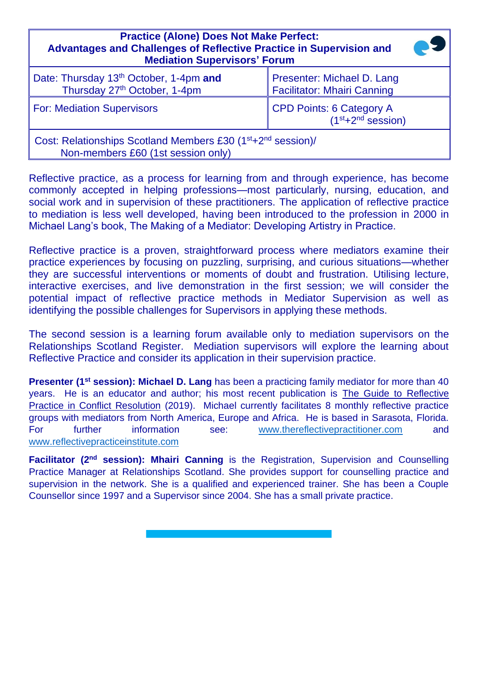| <b>Practice (Alone) Does Not Make Perfect:</b><br><b>Advantages and Challenges of Reflective Practice in Supervision and</b><br><b>Mediation Supervisors' Forum</b> |                                                                  |  |
|---------------------------------------------------------------------------------------------------------------------------------------------------------------------|------------------------------------------------------------------|--|
| Date: Thursday 13 <sup>th</sup> October, 1-4pm and<br>Thursday 27 <sup>th</sup> October, 1-4pm                                                                      | Presenter: Michael D. Lang<br><b>Facilitator: Mhairi Canning</b> |  |
| <b>For: Mediation Supervisors</b>                                                                                                                                   | <b>CPD Points: 6 Category A</b><br>$(1st+2nd session)$           |  |
| Cost: Relationships Scotland Members £30 (1 <sup>st</sup> +2 <sup>nd</sup> session)/<br>Non-members £60 (1st session only)                                          |                                                                  |  |

Reflective practice, as a process for learning from and through experience, has become commonly accepted in helping professions—most particularly, nursing, education, and social work and in supervision of these practitioners. The application of reflective practice to mediation is less well developed, having been introduced to the profession in 2000 in Michael Lang's book, The Making of a Mediator: Developing Artistry in Practice.

Reflective practice is a proven, straightforward process where mediators examine their practice experiences by focusing on puzzling, surprising, and curious situations—whether they are successful interventions or moments of doubt and frustration. Utilising lecture, interactive exercises, and live demonstration in the first session; we will consider the potential impact of reflective practice methods in Mediator Supervision as well as identifying the possible challenges for Supervisors in applying these methods.

The second session is a learning forum available only to mediation supervisors on the Relationships Scotland Register. Mediation supervisors will explore the learning about Reflective Practice and consider its application in their supervision practice.

**Presenter (1<sup>st</sup> session): Michael D. Lang** has been a practicing family mediator for more than 40 years. He is an educator and author; his most recent publication is The Guide to Reflective Practice in Conflict Resolution (2019). Michael currently facilitates 8 monthly reflective practice groups with mediators from North America, Europe and Africa. He is based in Sarasota, Florida. For further information see: [www.thereflectivepractitioner.com](http://www.thereflectivepractitioner.com/) and [www.reflectivepracticeinstitute.com](http://www.reflectivepracticeinstitute.com/)

**Facilitator (2nd session): Mhairi Canning** is the Registration, Supervision and Counselling Practice Manager at Relationships Scotland. She provides support for counselling practice and supervision in the network. She is a qualified and experienced trainer. She has been a Couple Counsellor since 1997 and a Supervisor since 2004. She has a small private practice.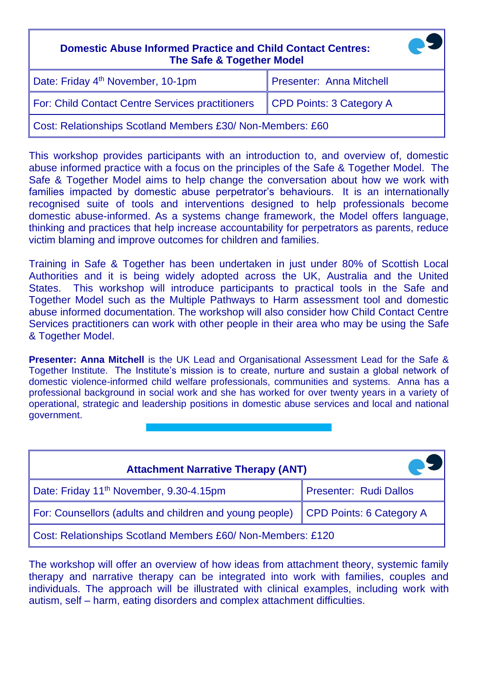| <b>Domestic Abuse Informed Practice and Child Contact Centres:</b><br><b>The Safe &amp; Together Model</b> |                          |  |
|------------------------------------------------------------------------------------------------------------|--------------------------|--|
| Date: Friday 4 <sup>th</sup> November, 10-1pm                                                              | Presenter: Anna Mitchell |  |
| For: Child Contact Centre Services practitioners                                                           | CPD Points: 3 Category A |  |
| Cost: Relationships Scotland Members £30/ Non-Members: £60                                                 |                          |  |

This workshop provides participants with an introduction to, and overview of, domestic abuse informed practice with a focus on the principles of the Safe & Together Model. The Safe & Together Model aims to help change the conversation about how we work with families impacted by domestic abuse perpetrator's behaviours. It is an internationally recognised suite of tools and interventions designed to help professionals become domestic abuse-informed. As a systems change framework, the Model offers language, thinking and practices that help increase accountability for perpetrators as parents, reduce victim blaming and improve outcomes for children and families.

Training in Safe & Together has been undertaken in just under 80% of Scottish Local Authorities and it is being widely adopted across the UK, Australia and the United States. This workshop will introduce participants to practical tools in the Safe and Together Model such as the Multiple Pathways to Harm assessment tool and domestic abuse informed documentation. The workshop will also consider how Child Contact Centre Services practitioners can work with other people in their area who may be using the Safe & Together Model.

**Presenter: Anna Mitchell** is the UK Lead and Organisational Assessment Lead for the Safe & Together Institute. The Institute's mission is to create, nurture and sustain a global network of domestic violence-informed child welfare professionals, communities and systems. Anna has a professional background in social work and she has worked for over twenty years in a variety of operational, strategic and leadership positions in domestic abuse services and local and national government.

| <b>Attachment Narrative Therapy (ANT)</b>                                          |                        |  |  |
|------------------------------------------------------------------------------------|------------------------|--|--|
| Date: Friday 11 <sup>th</sup> November, 9.30-4.15pm                                | Presenter: Rudi Dallos |  |  |
| For: Counsellors (adults and children and young people)   CPD Points: 6 Category A |                        |  |  |
| Cost: Relationships Scotland Members £60/ Non-Members: £120                        |                        |  |  |

The workshop will offer an overview of how ideas from attachment theory, systemic family therapy and narrative therapy can be integrated into work with families, couples and individuals. The approach will be illustrated with clinical examples, including work with autism, self – harm, eating disorders and complex attachment difficulties.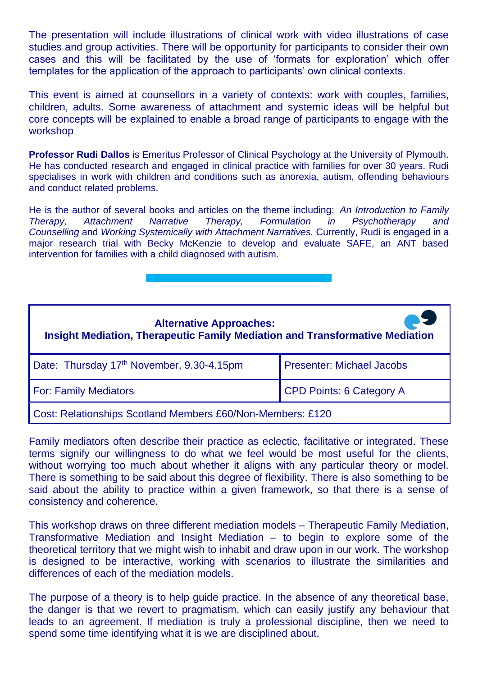The presentation will include illustrations of clinical work with video illustrations of case studies and group activities. There will be opportunity for participants to consider their own cases and this will be facilitated by the use of 'formats for exploration' which offer templates for the application of the approach to participants' own clinical contexts.

This event is aimed at counsellors in a variety of contexts: work with couples, families, children, adults. Some awareness of attachment and systemic ideas will be helpful but core concepts will be explained to enable a broad range of participants to engage with the workshop

**Professor Rudi Dallos** is Emeritus Professor of Clinical Psychology at the University of Plymouth. He has conducted research and engaged in clinical practice with families for over 30 years. Rudi specialises in work with children and conditions such as anorexia, autism, offending behaviours and conduct related problems.

He is the author of several books and articles on the theme including: *An Introduction to Family Therapy, Attachment Narrative Therapy, Formulation in Psychotherapy and Counselling* and *Working Systemically with Attachment Narratives.* Currently, Rudi is engaged in a major research trial with Becky McKenzie to develop and evaluate SAFE, an ANT based intervention for families with a child diagnosed with autism.

### **Alternative Approaches: Insight Mediation, Therapeutic Family Mediation and Transformative Mediation**

| Date: Thursday 17th November, 9.30-4.15pm | Presenter: Michael Jacobs |  |
|-------------------------------------------|---------------------------|--|
| <b>For: Family Mediators</b>              | CPD Points: 6 Category A  |  |

Cost: Relationships Scotland Members £60/Non-Members: £120

Family mediators often describe their practice as eclectic, facilitative or integrated. These terms signify our willingness to do what we feel would be most useful for the clients, without worrying too much about whether it aligns with any particular theory or model. There is something to be said about this degree of flexibility. There is also something to be said about the ability to practice within a given framework, so that there is a sense of consistency and coherence.

This workshop draws on three different mediation models – Therapeutic Family Mediation, Transformative Mediation and Insight Mediation – to begin to explore some of the theoretical territory that we might wish to inhabit and draw upon in our work. The workshop is designed to be interactive, working with scenarios to illustrate the similarities and differences of each of the mediation models.

The purpose of a theory is to help guide practice. In the absence of any theoretical base, the danger is that we revert to pragmatism, which can easily justify any behaviour that leads to an agreement. If mediation is truly a professional discipline, then we need to spend some time identifying what it is we are disciplined about.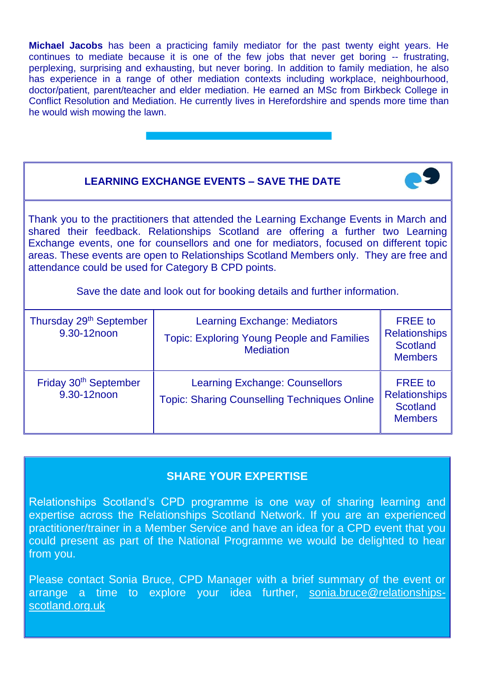**Michael Jacobs** has been a practicing family mediator for the past twenty eight years. He continues to mediate because it is one of the few jobs that never get boring -- frustrating, perplexing, surprising and exhausting, but never boring. In addition to family mediation, he also has experience in a range of other mediation contexts including workplace, neighbourhood, doctor/patient, parent/teacher and elder mediation. He earned an MSc from Birkbeck College in Conflict Resolution and Mediation. He currently lives in Herefordshire and spends more time than he would wish mowing the lawn.

### **LEARNING EXCHANGE EVENTS – SAVE THE DATE**

Thank you to the practitioners that attended the Learning Exchange Events in March and shared their feedback. Relationships Scotland are offering a further two Learning Exchange events, one for counsellors and one for mediators, focused on different topic areas. These events are open to Relationships Scotland Members only. They are free and attendance could be used for Category B CPD points.

Save the date and look out for booking details and further information.

| Thursday 29 <sup>th</sup> September<br>9.30-12noon | <b>Learning Exchange: Mediators</b><br><b>Topic: Exploring Young People and Families</b><br><b>Mediation</b> | <b>FREE</b> to<br><b>Relationships</b><br><b>Scotland</b><br><b>Members</b> |
|----------------------------------------------------|--------------------------------------------------------------------------------------------------------------|-----------------------------------------------------------------------------|
| Friday 30 <sup>th</sup> September<br>9.30-12noon   | <b>Learning Exchange: Counsellors</b><br><b>Topic: Sharing Counselling Techniques Online</b>                 | <b>FREE</b> to<br><b>Relationships</b><br><b>Scotland</b><br><b>Members</b> |

#### **SHARE YOUR EXPERTISE**

Relationships Scotland's CPD programme is one way of sharing learning and expertise across the Relationships Scotland Network. If you are an experienced practitioner/trainer in a Member Service and have an idea for a CPD event that you could present as part of the National Programme we would be delighted to hear from you.

Please contact Sonia Bruce, CPD Manager with a brief summary of the event or arrange a time to explore your idea further, [sonia.bruce@relationships](mailto:sonia.bruce@relationships-scotland.org.uk)[scotland.org.uk](mailto:sonia.bruce@relationships-scotland.org.uk)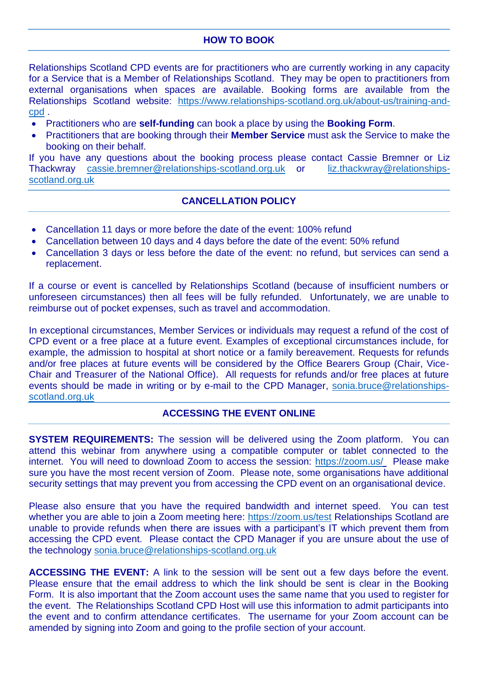#### **HOW TO BOOK**

Relationships Scotland CPD events are for practitioners who are currently working in any capacity for a Service that is a Member of Relationships Scotland. They may be open to practitioners from external organisations when spaces are available. Booking forms are available from the Relationships Scotland website: [https://www.relationships-scotland.org.uk/about-us/training-and](https://www.relationships-scotland.org.uk/about-us/training-and-cpd)[cpd](https://www.relationships-scotland.org.uk/about-us/training-and-cpd) .

- Practitioners who are **self-funding** can book a place by using the **Booking Form**.
- Practitioners that are booking through their **Member Service** must ask the Service to make the booking on their behalf.

If you have any questions about the booking process please contact Cassie Bremner or Liz Thackwray [cassie.bremner@relationships-scotland.org.uk](mailto:cassie.bremner@relationships-scotland.org.uk) or [liz.thackwray@relationships](mailto:liz.thackwray@relationships-scotland.org.uk)[scotland.org.uk](mailto:liz.thackwray@relationships-scotland.org.uk)

#### **CANCELLATION POLICY**

- Cancellation 11 days or more before the date of the event: 100% refund
- Cancellation between 10 days and 4 days before the date of the event: 50% refund
- Cancellation 3 days or less before the date of the event: no refund, but services can send a replacement.

If a course or event is cancelled by Relationships Scotland (because of insufficient numbers or unforeseen circumstances) then all fees will be fully refunded. Unfortunately, we are unable to reimburse out of pocket expenses, such as travel and accommodation.

In exceptional circumstances, Member Services or individuals may request a refund of the cost of CPD event or a free place at a future event. Examples of exceptional circumstances include, for example, the admission to hospital at short notice or a family bereavement. Requests for refunds and/or free places at future events will be considered by the Office Bearers Group (Chair, Vice-Chair and Treasurer of the National Office). All requests for refunds and/or free places at future events should be made in writing or by e-mail to the CPD Manager, [sonia.bruce@relationships](mailto:sonia.bruce@relationships-scotland.org.uk)[scotland.org.uk](mailto:sonia.bruce@relationships-scotland.org.uk)

#### **ACCESSING THE EVENT ONLINE**

**SYSTEM REQUIREMENTS:** The session will be delivered using the Zoom platform. You can attend this webinar from anywhere using a compatible computer or tablet connected to the internet. You will need to download Zoom to access the session:<https://zoom.us/> Please make sure you have the most recent version of Zoom. Please note, some organisations have additional security settings that may prevent you from accessing the CPD event on an organisational device.

Please also ensure that you have the required bandwidth and internet speed. You can test whether you are able to join a Zoom meeting here:<https://zoom.us/test> Relationships Scotland are unable to provide refunds when there are issues with a participant's IT which prevent them from accessing the CPD event. Please contact the CPD Manager if you are unsure about the use of the technology [sonia.bruce@relationships-scotland.org.uk](mailto:sonia.bruce@relationships-scotland.org.uk)

**ACCESSING THE EVENT:** A link to the session will be sent out a few days before the event. Please ensure that the email address to which the link should be sent is clear in the Booking Form. It is also important that the Zoom account uses the same name that you used to register for the event. The Relationships Scotland CPD Host will use this information to admit participants into the event and to confirm attendance certificates. The username for your Zoom account can be amended by signing into Zoom and going to the profile section of your account.